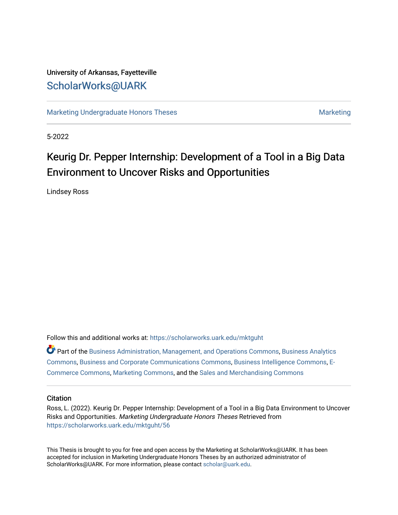## University of Arkansas, Fayetteville [ScholarWorks@UARK](https://scholarworks.uark.edu/)

[Marketing Undergraduate Honors Theses](https://scholarworks.uark.edu/mktguht) [Marketing](https://scholarworks.uark.edu/mktg) Marketing

5-2022

# Keurig Dr. Pepper Internship: Development of a Tool in a Big Data Environment to Uncover Risks and Opportunities

Lindsey Ross

Follow this and additional works at: [https://scholarworks.uark.edu/mktguht](https://scholarworks.uark.edu/mktguht?utm_source=scholarworks.uark.edu%2Fmktguht%2F56&utm_medium=PDF&utm_campaign=PDFCoverPages)

| C Part of the Business Administration, Management, and Operations Commons, Business Analytics |
|-----------------------------------------------------------------------------------------------|
| Commons, Business and Corporate Communications Commons, Business Intelligence Commons, E-     |
| Commerce Commons, Marketing Commons, and the Sales and Merchandising Commons                  |

## **Citation**

Ross, L. (2022). Keurig Dr. Pepper Internship: Development of a Tool in a Big Data Environment to Uncover Risks and Opportunities. Marketing Undergraduate Honors Theses Retrieved from [https://scholarworks.uark.edu/mktguht/56](https://scholarworks.uark.edu/mktguht/56?utm_source=scholarworks.uark.edu%2Fmktguht%2F56&utm_medium=PDF&utm_campaign=PDFCoverPages) 

This Thesis is brought to you for free and open access by the Marketing at ScholarWorks@UARK. It has been accepted for inclusion in Marketing Undergraduate Honors Theses by an authorized administrator of ScholarWorks@UARK. For more information, please contact [scholar@uark.edu](mailto:scholar@uark.edu).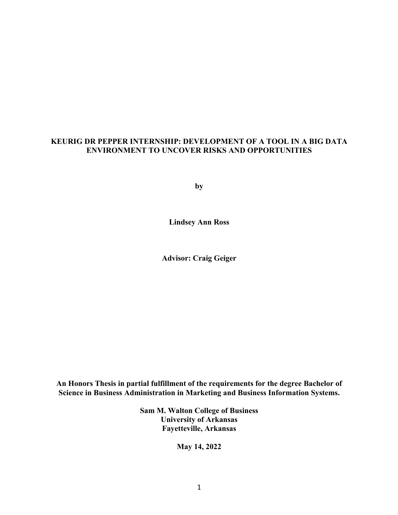## **KEURIG DR PEPPER INTERNSHIP: DEVELOPMENT OF A TOOL IN A BIG DATA ENVIRONMENT TO UNCOVER RISKS AND OPPORTUNITIES**

**by**

**Lindsey Ann Ross**

**Advisor: Craig Geiger**

**An Honors Thesis in partial fulfillment of the requirements for the degree Bachelor of Science in Business Administration in Marketing and Business Information Systems.**

> **Sam M. Walton College of Business University of Arkansas Fayetteville, Arkansas**

> > **May 14, 2022**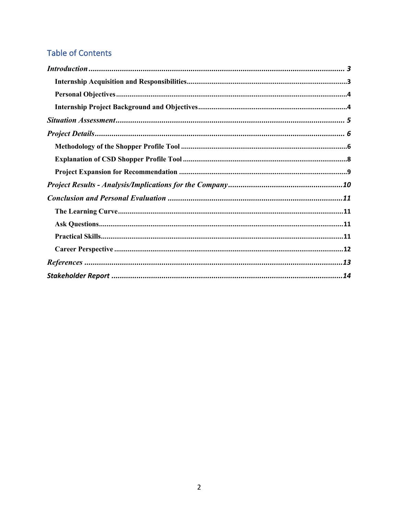## **Table of Contents**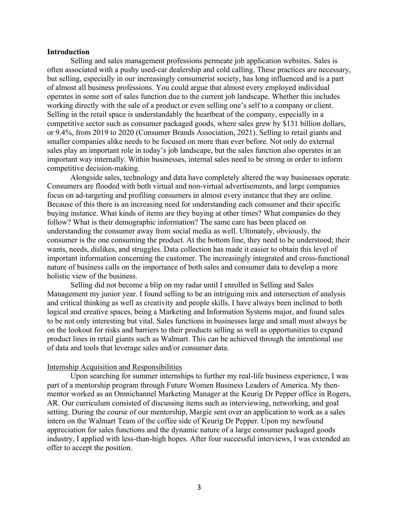### **Introduction**

Selling and sales management professions permeate job application websites. Sales is often associated with a pushy used-car dealership and cold calling. These practices are necessary, but selling, especially in our increasingly consumerist society, has long influenced and is a part of almost all business professions. You could argue that almost every employed individual operates in some sort of sales function due to the current job landscape. Whether this includes working directly with the sale of a product or even selling one's self to a company or client. Selling in the retail space is understandably the heartbeat of the company, especially in a competitive sector such as consumer packaged goods, where sales grew by \$131 billion dollars, or 9.4%, from 2019 to 2020 (Consumer Brands Association, 2021). Selling to retail giants and smaller companies alike needs to be focused on more than ever before. Not only do external sales play an important role in today's job landscape, but the sales function also operates in an important way internally. Within businesses, internal sales need to be strong in order to inform competitive decision-making.

Alongside sales, technology and data have completely altered the way businesses operate. Consumers are flooded with both virtual and non-virtual advertisements, and large companies focus on ad-targeting and profiling consumers in almost every instance that they are online. Because of this there is an increasing need for understanding each consumer and their specific buying instance. What kinds of items are they buying at other times? What companies do they follow? What is their demographic information? The same care has been placed on understanding the consumer away from social media as well. Ultimately, obviously, the consumer is the one consuming the product. At the bottom line, they need to be understood; their wants, needs, dislikes, and struggles. Data collection has made it easier to obtain this level of important information concerning the customer. The increasingly integrated and cross-functional nature of business calls on the importance of both sales and consumer data to develop a more holistic view of the business.

Selling did not become a blip on my radar until I enrolled in Selling and Sales Management my junior year. I found selling to be an intriguing mix and intersection of analysis and critical thinking as well as creativity and people skills. I have always been inclined to both logical and creative spaces, being a Marketing and Information Systems major, and found sales to be not only interesting but vital. Sales functions in businesses large and small must always be on the lookout for risks and barriers to their products selling as well as opportunities to expand product lines in retail giants such as Walmart. This can be achieved through the intentional use of data and tools that leverage sales and/or consumer data.

#### Internship Acquisition and Responsibilities

Upon searching for summer internships to further my real-life business experience, I was part of a mentorship program through Future Women Business Leaders of America. My thenmentor worked as an Omnichannel Marketing Manager at the Keurig Dr Pepper office in Rogers, AR. Our curriculum consisted of discussing items such as interviewing, networking, and goal setting. During the course of our mentorship, Margie sent over an application to work as a sales intern on the Walmart Team of the coffee side of Keurig Dr Pepper. Upon my newfound appreciation for sales functions and the dynamic nature of a large consumer packaged goods industry, I applied with less-than-high hopes. After four successful interviews, I was extended an offer to accept the position.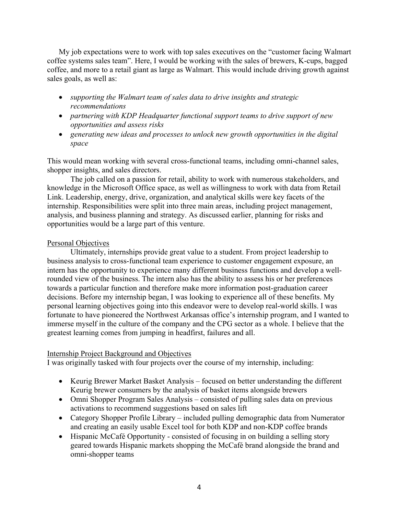My job expectations were to work with top sales executives on the "customer facing Walmart coffee systems sales team". Here, I would be working with the sales of brewers, K-cups, bagged coffee, and more to a retail giant as large as Walmart. This would include driving growth against sales goals, as well as:

- *supporting the Walmart team of sales data to drive insights and strategic recommendations*
- *partnering with KDP Headquarter functional support teams to drive support of new opportunities and assess risks*
- *generating new ideas and processes to unlock new growth opportunities in the digital space*

This would mean working with several cross-functional teams, including omni-channel sales, shopper insights, and sales directors.

The job called on a passion for retail, ability to work with numerous stakeholders, and knowledge in the Microsoft Office space, as well as willingness to work with data from Retail Link. Leadership, energy, drive, organization, and analytical skills were key facets of the internship. Responsibilities were split into three main areas, including project management, analysis, and business planning and strategy. As discussed earlier, planning for risks and opportunities would be a large part of this venture.

## Personal Objectives

Ultimately, internships provide great value to a student. From project leadership to business analysis to cross-functional team experience to customer engagement exposure, an intern has the opportunity to experience many different business functions and develop a wellrounded view of the business. The intern also has the ability to assess his or her preferences towards a particular function and therefore make more information post-graduation career decisions. Before my internship began, I was looking to experience all of these benefits. My personal learning objectives going into this endeavor were to develop real-world skills. I was fortunate to have pioneered the Northwest Arkansas office's internship program, and I wanted to immerse myself in the culture of the company and the CPG sector as a whole. I believe that the greatest learning comes from jumping in headfirst, failures and all.

## Internship Project Background and Objectives

I was originally tasked with four projects over the course of my internship, including:

- Keurig Brewer Market Basket Analysis focused on better understanding the different Keurig brewer consumers by the analysis of basket items alongside brewers
- Omni Shopper Program Sales Analysis consisted of pulling sales data on previous activations to recommend suggestions based on sales lift
- Category Shopper Profile Library included pulling demographic data from Numerator and creating an easily usable Excel tool for both KDP and non-KDP coffee brands
- Hispanic McCafé Opportunity consisted of focusing in on building a selling story geared towards Hispanic markets shopping the McCafé brand alongside the brand and omni-shopper teams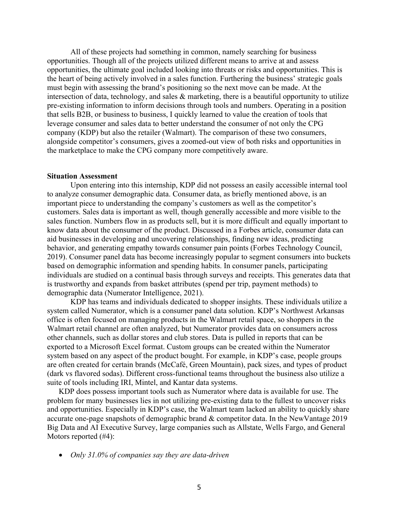All of these projects had something in common, namely searching for business opportunities. Though all of the projects utilized different means to arrive at and assess opportunities, the ultimate goal included looking into threats or risks and opportunities. This is the heart of being actively involved in a sales function. Furthering the business' strategic goals must begin with assessing the brand's positioning so the next move can be made. At the intersection of data, technology, and sales & marketing, there is a beautiful opportunity to utilize pre-existing information to inform decisions through tools and numbers. Operating in a position that sells B2B, or business to business, I quickly learned to value the creation of tools that leverage consumer and sales data to better understand the consumer of not only the CPG company (KDP) but also the retailer (Walmart). The comparison of these two consumers, alongside competitor's consumers, gives a zoomed-out view of both risks and opportunities in the marketplace to make the CPG company more competitively aware.

#### **Situation Assessment**

Upon entering into this internship, KDP did not possess an easily accessible internal tool to analyze consumer demographic data. Consumer data, as briefly mentioned above, is an important piece to understanding the company's customers as well as the competitor's customers. Sales data is important as well, though generally accessible and more visible to the sales function. Numbers flow in as products sell, but it is more difficult and equally important to know data about the consumer of the product. Discussed in a Forbes article, consumer data can aid businesses in developing and uncovering relationships, finding new ideas, predicting behavior, and generating empathy towards consumer pain points (Forbes Technology Council, 2019). Consumer panel data has become increasingly popular to segment consumers into buckets based on demographic information and spending habits. In consumer panels, participating individuals are studied on a continual basis through surveys and receipts. This generates data that is trustworthy and expands from basket attributes (spend per trip, payment methods) to demographic data (Numerator Intelligence, 2021).

KDP has teams and individuals dedicated to shopper insights. These individuals utilize a system called Numerator, which is a consumer panel data solution. KDP's Northwest Arkansas office is often focused on managing products in the Walmart retail space, so shoppers in the Walmart retail channel are often analyzed, but Numerator provides data on consumers across other channels, such as dollar stores and club stores. Data is pulled in reports that can be exported to a Microsoft Excel format. Custom groups can be created within the Numerator system based on any aspect of the product bought. For example, in KDP's case, people groups are often created for certain brands (McCafé, Green Mountain), pack sizes, and types of product (dark vs flavored sodas). Different cross-functional teams throughout the business also utilize a suite of tools including IRI, Mintel, and Kantar data systems.

KDP does possess important tools such as Numerator where data is available for use. The problem for many businesses lies in not utilizing pre-existing data to the fullest to uncover risks and opportunities. Especially in KDP's case, the Walmart team lacked an ability to quickly share accurate one-page snapshots of demographic brand & competitor data. In the NewVantage 2019 Big Data and AI Executive Survey, large companies such as Allstate, Wells Fargo, and General Motors reported (#4):

• *Only 31.0% of companies say they are data-driven*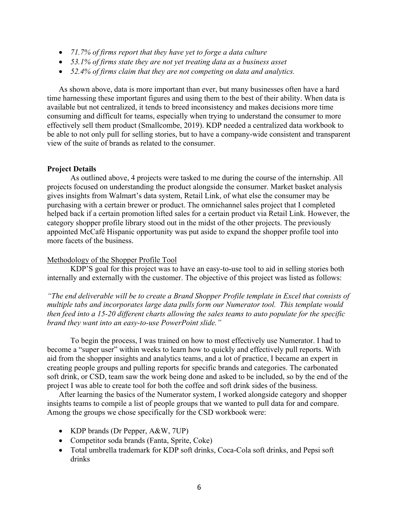- *71.7% of firms report that they have yet to forge a data culture*
- *53.1% of firms state they are not yet treating data as a business asset*
- *52.4% of firms claim that they are not competing on data and analytics.*

As shown above, data is more important than ever, but many businesses often have a hard time harnessing these important figures and using them to the best of their ability. When data is available but not centralized, it tends to breed inconsistency and makes decisions more time consuming and difficult for teams, especially when trying to understand the consumer to more effectively sell them product (Smallcombe, 2019). KDP needed a centralized data workbook to be able to not only pull for selling stories, but to have a company-wide consistent and transparent view of the suite of brands as related to the consumer.

#### **Project Details**

As outlined above, 4 projects were tasked to me during the course of the internship. All projects focused on understanding the product alongside the consumer. Market basket analysis gives insights from Walmart's data system, Retail Link, of what else the consumer may be purchasing with a certain brewer or product. The omnichannel sales project that I completed helped back if a certain promotion lifted sales for a certain product via Retail Link. However, the category shopper profile library stood out in the midst of the other projects. The previously appointed McCafé Hispanic opportunity was put aside to expand the shopper profile tool into more facets of the business.

#### Methodology of the Shopper Profile Tool

KDP'S goal for this project was to have an easy-to-use tool to aid in selling stories both internally and externally with the customer. The objective of this project was listed as follows:

*"The end deliverable will be to create a Brand Shopper Profile template in Excel that consists of multiple tabs and incorporates large data pulls form our Numerator tool. This template would then feed into a 15-20 different charts allowing the sales teams to auto populate for the specific brand they want into an easy-to-use PowerPoint slide."*

To begin the process, I was trained on how to most effectively use Numerator. I had to become a "super user" within weeks to learn how to quickly and effectively pull reports. With aid from the shopper insights and analytics teams, and a lot of practice, I became an expert in creating people groups and pulling reports for specific brands and categories. The carbonated soft drink, or CSD, team saw the work being done and asked to be included, so by the end of the project I was able to create tool for both the coffee and soft drink sides of the business.

After learning the basics of the Numerator system, I worked alongside category and shopper insights teams to compile a list of people groups that we wanted to pull data for and compare. Among the groups we chose specifically for the CSD workbook were:

- KDP brands (Dr Pepper, A&W, 7UP)
- Competitor soda brands (Fanta, Sprite, Coke)
- Total umbrella trademark for KDP soft drinks, Coca-Cola soft drinks, and Pepsi soft drinks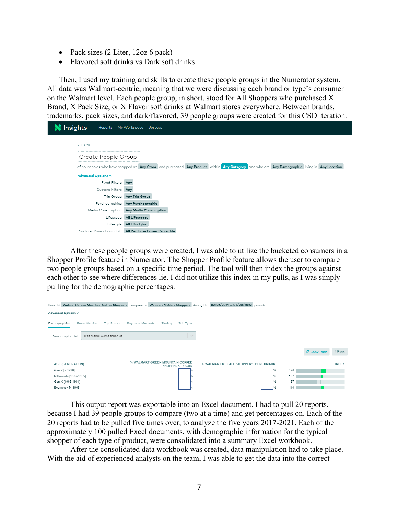- Pack sizes (2 Liter, 12oz 6 pack)
- Flavored soft drinks vs Dark soft drinks

Then, I used my training and skills to create these people groups in the Numerator system. All data was Walmart-centric, meaning that we were discussing each brand or type's consumer on the Walmart level. Each people group, in short, stood for All Shoppers who purchased X Brand, X Pack Size, or X Flavor soft drinks at Walmart stores everywhere. Between brands, trademarks, pack sizes, and dark/flavored, 39 people groups were created for this CSD iteration.



After these people groups were created, I was able to utilize the bucketed consumers in a Shopper Profile feature in Numerator. The Shopper Profile feature allows the user to compare two people groups based on a specific time period. The tool will then index the groups against each other to see where differences lie. I did not utilize this index in my pulls, as I was simply pulling for the demographic percentages.

| How did Walmart Green Mountain Coffee Shoppers compare to Walmart McCafe Shoppers during the 02/22/2021 to 02/20/2022 period? |                                                           |                                      |                                     |
|-------------------------------------------------------------------------------------------------------------------------------|-----------------------------------------------------------|--------------------------------------|-------------------------------------|
| Advanced Options v                                                                                                            |                                                           |                                      |                                     |
| Demographics<br><b>Basic Metrics</b><br><b>Top Stores</b>                                                                     | <b>Trip Type</b><br><b>Payment Methods</b><br>Timing      |                                      |                                     |
| Traditional Demographics<br>Demographic Set:                                                                                  |                                                           | $\searrow$                           |                                     |
|                                                                                                                               |                                                           |                                      | 4 Rows<br>d <sup>1</sup> Copy Table |
| <b>AGE (GENERATION)</b>                                                                                                       | % WALMART GREEN MOUNTAIN COFFEE<br><b>SHOPPERS, FOCUS</b> | % WALMART MCCAFE SHOPPERS, BENCHMARK | <b>INDEX</b>                        |
| Gen Z [> 1996]                                                                                                                |                                                           |                                      | 120                                 |
| Millennials [1982-1995]                                                                                                       |                                                           |                                      | 107                                 |
| Gen X [1965-1981]                                                                                                             |                                                           |                                      | 87                                  |
| Boomers+ [< 1965]                                                                                                             |                                                           |                                      | 110                                 |

This output report was exportable into an Excel document. I had to pull 20 reports, because I had 39 people groups to compare (two at a time) and get percentages on. Each of the 20 reports had to be pulled five times over, to analyze the five years 2017-2021. Each of the approximately 100 pulled Excel documents, with demographic information for the typical shopper of each type of product, were consolidated into a summary Excel workbook.

After the consolidated data workbook was created, data manipulation had to take place. With the aid of experienced analysts on the team, I was able to get the data into the correct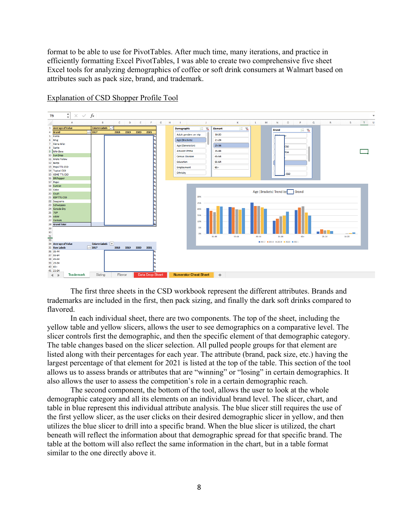format to be able to use for PivotTables. After much time, many iterations, and practice in efficiently formatting Excel PivotTables, I was able to create two comprehensive five sheet Excel tools for analyzing demographics of coffee or soft drink consumers at Walmart based on attributes such as pack size, brand, and trademark.



Explanation of CSD Shopper Profile Tool

The first three sheets in the CSD workbook represent the different attributes. Brands and trademarks are included in the first, then pack sizing, and finally the dark soft drinks compared to flavored.

In each individual sheet, there are two components. The top of the sheet, including the yellow table and yellow slicers, allows the user to see demographics on a comparative level. The slicer controls first the demographic, and then the specific element of that demographic category. The table changes based on the slicer selection. All pulled people groups for that element are listed along with their percentages for each year. The attribute (brand, pack size, etc.) having the largest percentage of that element for 2021 is listed at the top of the table. This section of the tool allows us to assess brands or attributes that are "winning" or "losing" in certain demographics. It also allows the user to assess the competition's role in a certain demographic reach.

The second component, the bottom of the tool, allows the user to look at the whole demographic category and all its elements on an individual brand level. The slicer, chart, and table in blue represent this individual attribute analysis. The blue slicer still requires the use of the first yellow slicer, as the user clicks on their desired demographic slicer in yellow, and then utilizes the blue slicer to drill into a specific brand. When the blue slicer is utilized, the chart beneath will reflect the information about that demographic spread for that specific brand. The table at the bottom will also reflect the same information in the chart, but in a table format similar to the one directly above it.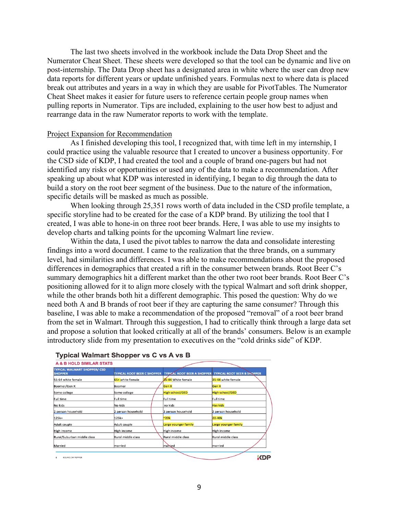The last two sheets involved in the workbook include the Data Drop Sheet and the Numerator Cheat Sheet. These sheets were developed so that the tool can be dynamic and live on post-internship. The Data Drop sheet has a designated area in white where the user can drop new data reports for different years or update unfinished years. Formulas next to where data is placed break out attributes and years in a way in which they are usable for PivotTables. The Numerator Cheat Sheet makes it easier for future users to reference certain people group names when pulling reports in Numerator. Tips are included, explaining to the user how best to adjust and rearrange data in the raw Numerator reports to work with the template.

#### Project Expansion for Recommendation

As I finished developing this tool, I recognized that, with time left in my internship, I could practice using the valuable resource that I created to uncover a business opportunity. For the CSD side of KDP, I had created the tool and a couple of brand one-pagers but had not identified any risks or opportunities or used any of the data to make a recommendation. After speaking up about what KDP was interested in identifying, I began to dig through the data to build a story on the root beer segment of the business. Due to the nature of the information, specific details will be masked as much as possible.

When looking through 25,351 rows worth of data included in the CSD profile template, a specific storyline had to be created for the case of a KDP brand. By utilizing the tool that I created, I was able to hone-in on three root beer brands. Here, I was able to use my insights to develop charts and talking points for the upcoming Walmart line review.

Within the data, I used the pivot tables to narrow the data and consolidate interesting findings into a word document. I came to the realization that the three brands, on a summary level, had similarities and differences. I was able to make recommendations about the proposed differences in demographics that created a rift in the consumer between brands. Root Beer C's summary demographics hit a different market than the other two root beer brands. Root Beer C's positioning allowed for it to align more closely with the typical Walmart and soft drink shopper, while the other brands both hit a different demographic. This posed the question: Why do we need both A and B brands of root beer if they are capturing the same consumer? Through this baseline, I was able to make a recommendation of the proposed "removal" of a root beer brand from the set in Walmart. Through this suggestion, I had to critically think through a large data set and propose a solution that looked critically at all of the brands' consumers. Below is an example introductory slide from my presentation to executives on the "cold drinks side" of KDP.



#### **Typical Walmart Shopper vs C vs A vs B**

9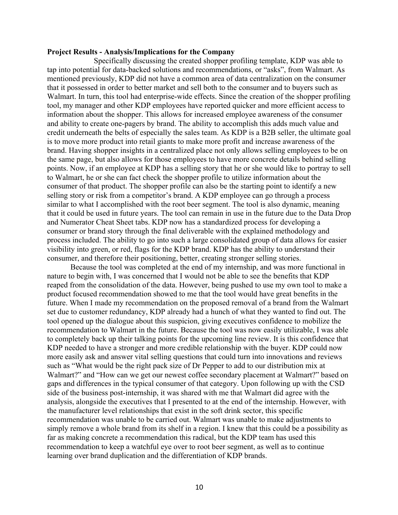#### **Project Results - Analysis/Implications for the Company**

Specifically discussing the created shopper profiling template, KDP was able to tap into potential for data-backed solutions and recommendations, or "asks", from Walmart. As mentioned previously, KDP did not have a common area of data centralization on the consumer that it possessed in order to better market and sell both to the consumer and to buyers such as Walmart. In turn, this tool had enterprise-wide effects. Since the creation of the shopper profiling tool, my manager and other KDP employees have reported quicker and more efficient access to information about the shopper. This allows for increased employee awareness of the consumer and ability to create one-pagers by brand. The ability to accomplish this adds much value and credit underneath the belts of especially the sales team. As KDP is a B2B seller, the ultimate goal is to move more product into retail giants to make more profit and increase awareness of the brand. Having shopper insights in a centralized place not only allows selling employees to be on the same page, but also allows for those employees to have more concrete details behind selling points. Now, if an employee at KDP has a selling story that he or she would like to portray to sell to Walmart, he or she can fact check the shopper profile to utilize information about the consumer of that product. The shopper profile can also be the starting point to identify a new selling story or risk from a competitor's brand. A KDP employee can go through a process similar to what I accomplished with the root beer segment. The tool is also dynamic, meaning that it could be used in future years. The tool can remain in use in the future due to the Data Drop and Numerator Cheat Sheet tabs. KDP now has a standardized process for developing a consumer or brand story through the final deliverable with the explained methodology and process included. The ability to go into such a large consolidated group of data allows for easier visibility into green, or red, flags for the KDP brand. KDP has the ability to understand their consumer, and therefore their positioning, better, creating stronger selling stories.

Because the tool was completed at the end of my internship, and was more functional in nature to begin with, I was concerned that I would not be able to see the benefits that KDP reaped from the consolidation of the data. However, being pushed to use my own tool to make a product focused recommendation showed to me that the tool would have great benefits in the future. When I made my recommendation on the proposed removal of a brand from the Walmart set due to customer redundancy, KDP already had a hunch of what they wanted to find out. The tool opened up the dialogue about this suspicion, giving executives confidence to mobilize the recommendation to Walmart in the future. Because the tool was now easily utilizable, I was able to completely back up their talking points for the upcoming line review. It is this confidence that KDP needed to have a stronger and more credible relationship with the buyer. KDP could now more easily ask and answer vital selling questions that could turn into innovations and reviews such as "What would be the right pack size of Dr Pepper to add to our distribution mix at Walmart?" and "How can we get our newest coffee secondary placement at Walmart?" based on gaps and differences in the typical consumer of that category. Upon following up with the CSD side of the business post-internship, it was shared with me that Walmart did agree with the analysis, alongside the executives that I presented to at the end of the internship. However, with the manufacturer level relationships that exist in the soft drink sector, this specific recommendation was unable to be carried out. Walmart was unable to make adjustments to simply remove a whole brand from its shelf in a region. I knew that this could be a possibility as far as making concrete a recommendation this radical, but the KDP team has used this recommendation to keep a watchful eye over to root beer segment, as well as to continue learning over brand duplication and the differentiation of KDP brands.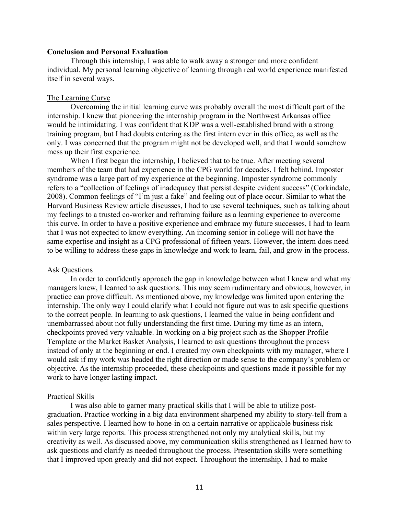## **Conclusion and Personal Evaluation**

Through this internship, I was able to walk away a stronger and more confident individual. My personal learning objective of learning through real world experience manifested itself in several ways.

#### The Learning Curve

Overcoming the initial learning curve was probably overall the most difficult part of the internship. I knew that pioneering the internship program in the Northwest Arkansas office would be intimidating. I was confident that KDP was a well-established brand with a strong training program, but I had doubts entering as the first intern ever in this office, as well as the only. I was concerned that the program might not be developed well, and that I would somehow mess up their first experience.

When I first began the internship, I believed that to be true. After meeting several members of the team that had experience in the CPG world for decades, I felt behind. Imposter syndrome was a large part of my experience at the beginning. Imposter syndrome commonly refers to a "collection of feelings of inadequacy that persist despite evident success" (Corkindale, 2008). Common feelings of "I'm just a fake" and feeling out of place occur. Similar to what the Harvard Business Review article discusses, I had to use several techniques, such as talking about my feelings to a trusted co-worker and reframing failure as a learning experience to overcome this curve. In order to have a positive experience and embrace my future successes, I had to learn that I was not expected to know everything. An incoming senior in college will not have the same expertise and insight as a CPG professional of fifteen years. However, the intern does need to be willing to address these gaps in knowledge and work to learn, fail, and grow in the process.

#### Ask Questions

In order to confidently approach the gap in knowledge between what I knew and what my managers knew, I learned to ask questions. This may seem rudimentary and obvious, however, in practice can prove difficult. As mentioned above, my knowledge was limited upon entering the internship. The only way I could clarify what I could not figure out was to ask specific questions to the correct people. In learning to ask questions, I learned the value in being confident and unembarrassed about not fully understanding the first time. During my time as an intern, checkpoints proved very valuable. In working on a big project such as the Shopper Profile Template or the Market Basket Analysis, I learned to ask questions throughout the process instead of only at the beginning or end. I created my own checkpoints with my manager, where I would ask if my work was headed the right direction or made sense to the company's problem or objective. As the internship proceeded, these checkpoints and questions made it possible for my work to have longer lasting impact.

#### Practical Skills

I was also able to garner many practical skills that I will be able to utilize postgraduation. Practice working in a big data environment sharpened my ability to story-tell from a sales perspective. I learned how to hone-in on a certain narrative or applicable business risk within very large reports. This process strengthened not only my analytical skills, but my creativity as well. As discussed above, my communication skills strengthened as I learned how to ask questions and clarify as needed throughout the process. Presentation skills were something that I improved upon greatly and did not expect. Throughout the internship, I had to make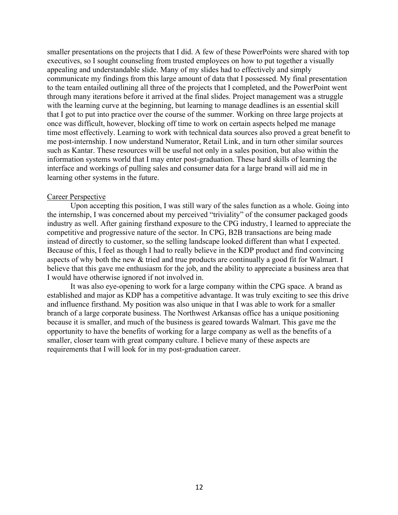smaller presentations on the projects that I did. A few of these PowerPoints were shared with top executives, so I sought counseling from trusted employees on how to put together a visually appealing and understandable slide. Many of my slides had to effectively and simply communicate my findings from this large amount of data that I possessed. My final presentation to the team entailed outlining all three of the projects that I completed, and the PowerPoint went through many iterations before it arrived at the final slides. Project management was a struggle with the learning curve at the beginning, but learning to manage deadlines is an essential skill that I got to put into practice over the course of the summer. Working on three large projects at once was difficult, however, blocking off time to work on certain aspects helped me manage time most effectively. Learning to work with technical data sources also proved a great benefit to me post-internship. I now understand Numerator, Retail Link, and in turn other similar sources such as Kantar. These resources will be useful not only in a sales position, but also within the information systems world that I may enter post-graduation. These hard skills of learning the interface and workings of pulling sales and consumer data for a large brand will aid me in learning other systems in the future.

#### Career Perspective

Upon accepting this position, I was still wary of the sales function as a whole. Going into the internship, I was concerned about my perceived "triviality" of the consumer packaged goods industry as well. After gaining firsthand exposure to the CPG industry, I learned to appreciate the competitive and progressive nature of the sector. In CPG, B2B transactions are being made instead of directly to customer, so the selling landscape looked different than what I expected. Because of this, I feel as though I had to really believe in the KDP product and find convincing aspects of why both the new & tried and true products are continually a good fit for Walmart. I believe that this gave me enthusiasm for the job, and the ability to appreciate a business area that I would have otherwise ignored if not involved in.

It was also eye-opening to work for a large company within the CPG space. A brand as established and major as KDP has a competitive advantage. It was truly exciting to see this drive and influence firsthand. My position was also unique in that I was able to work for a smaller branch of a large corporate business. The Northwest Arkansas office has a unique positioning because it is smaller, and much of the business is geared towards Walmart. This gave me the opportunity to have the benefits of working for a large company as well as the benefits of a smaller, closer team with great company culture. I believe many of these aspects are requirements that I will look for in my post-graduation career.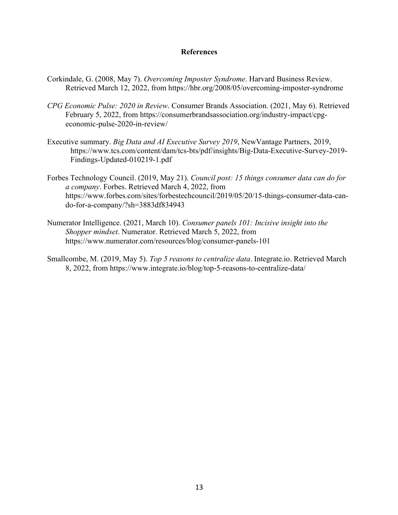## **References**

- Corkindale, G. (2008, May 7). *Overcoming Imposter Syndrome*. Harvard Business Review. Retrieved March 12, 2022, from https://hbr.org/2008/05/overcoming-imposter-syndrome
- *CPG Economic Pulse: 2020 in Review*. Consumer Brands Association. (2021, May 6). Retrieved February 5, 2022, from https://consumerbrandsassociation.org/industry-impact/cpgeconomic-pulse-2020-in-review/
- Executive summary. *Big Data and AI Executive Survey 2019*, NewVantage Partners, 2019, https://www.tcs.com/content/dam/tcs-bts/pdf/insights/Big-Data-Executive-Survey-2019- Findings-Updated-010219-1.pdf
- Forbes Technology Council. (2019, May 21). *Council post: 15 things consumer data can do for a company*. Forbes. Retrieved March 4, 2022, from https://www.forbes.com/sites/forbestechcouncil/2019/05/20/15-things-consumer-data-cando-for-a-company/?sh=3883df834943
- Numerator Intelligence. (2021, March 10). *Consumer panels 101: Incisive insight into the Shopper mindset*. Numerator. Retrieved March 5, 2022, from https://www.numerator.com/resources/blog/consumer-panels-101
- Smallcombe, M. (2019, May 5). *Top 5 reasons to centralize data*. Integrate.io. Retrieved March 8, 2022, from https://www.integrate.io/blog/top-5-reasons-to-centralize-data/